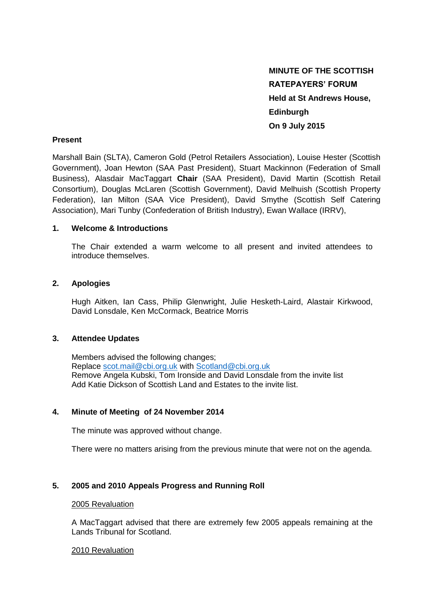**MINUTE OF THE SCOTTISH RATEPAYERS' FORUM Held at St Andrews House, Edinburgh On 9 July 2015** 

### **Present**

Marshall Bain (SLTA), Cameron Gold (Petrol Retailers Association), Louise Hester (Scottish Government), Joan Hewton (SAA Past President), Stuart Mackinnon (Federation of Small Business), Alasdair MacTaggart **Chair** (SAA President), David Martin (Scottish Retail Consortium), Douglas McLaren (Scottish Government), David Melhuish (Scottish Property Federation), Ian Milton (SAA Vice President), David Smythe (Scottish Self Catering Association), Mari Tunby (Confederation of British Industry), Ewan Wallace (IRRV),

## **1. Welcome & Introductions**

The Chair extended a warm welcome to all present and invited attendees to introduce themselves.

## **2. Apologies**

Hugh Aitken, Ian Cass, Philip Glenwright, Julie Hesketh-Laird, Alastair Kirkwood, David Lonsdale, Ken McCormack, Beatrice Morris

## **3. Attendee Updates**

Members advised the following changes; Replace [scot.mail@cbi.org.uk](mailto:scot.mail@cbi.org.uk) with [Scotland@cbi.org.uk](mailto:Scotland@cbi.org.uk) Remove Angela Kubski, Tom Ironside and David Lonsdale from the invite list Add Katie Dickson of Scottish Land and Estates to the invite list.

## **4. Minute of Meeting of 24 November 2014**

The minute was approved without change.

There were no matters arising from the previous minute that were not on the agenda.

# **5. 2005 and 2010 Appeals Progress and Running Roll**

#### 2005 Revaluation

A MacTaggart advised that there are extremely few 2005 appeals remaining at the Lands Tribunal for Scotland.

#### 2010 Revaluation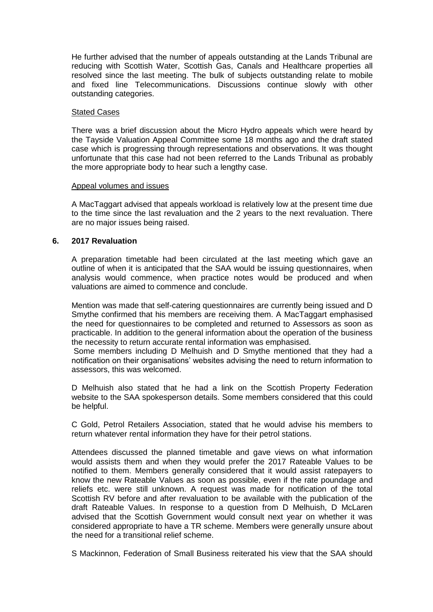He further advised that the number of appeals outstanding at the Lands Tribunal are reducing with Scottish Water, Scottish Gas, Canals and Healthcare properties all resolved since the last meeting. The bulk of subjects outstanding relate to mobile and fixed line Telecommunications. Discussions continue slowly with other outstanding categories.

#### Stated Cases

There was a brief discussion about the Micro Hydro appeals which were heard by the Tayside Valuation Appeal Committee some 18 months ago and the draft stated case which is progressing through representations and observations. It was thought unfortunate that this case had not been referred to the Lands Tribunal as probably the more appropriate body to hear such a lengthy case.

#### Appeal volumes and issues

A MacTaggart advised that appeals workload is relatively low at the present time due to the time since the last revaluation and the 2 years to the next revaluation. There are no major issues being raised.

## **6. 2017 Revaluation**

A preparation timetable had been circulated at the last meeting which gave an outline of when it is anticipated that the SAA would be issuing questionnaires, when analysis would commence, when practice notes would be produced and when valuations are aimed to commence and conclude.

Mention was made that self-catering questionnaires are currently being issued and D Smythe confirmed that his members are receiving them. A MacTaggart emphasised the need for questionnaires to be completed and returned to Assessors as soon as practicable. In addition to the general information about the operation of the business the necessity to return accurate rental information was emphasised.

Some members including D Melhuish and D Smythe mentioned that they had a notification on their organisations' websites advising the need to return information to assessors, this was welcomed.

D Melhuish also stated that he had a link on the Scottish Property Federation website to the SAA spokesperson details. Some members considered that this could be helpful.

C Gold, Petrol Retailers Association, stated that he would advise his members to return whatever rental information they have for their petrol stations.

Attendees discussed the planned timetable and gave views on what information would assists them and when they would prefer the 2017 Rateable Values to be notified to them. Members generally considered that it would assist ratepayers to know the new Rateable Values as soon as possible, even if the rate poundage and reliefs etc. were still unknown. A request was made for notification of the total Scottish RV before and after revaluation to be available with the publication of the draft Rateable Values. In response to a question from D Melhuish, D McLaren advised that the Scottish Government would consult next year on whether it was considered appropriate to have a TR scheme. Members were generally unsure about the need for a transitional relief scheme.

S Mackinnon, Federation of Small Business reiterated his view that the SAA should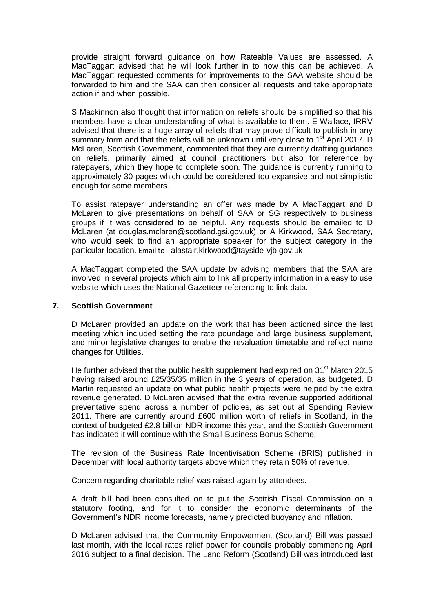provide straight forward guidance on how Rateable Values are assessed. A MacTaggart advised that he will look further in to how this can be achieved. A MacTaggart requested comments for improvements to the SAA website should be forwarded to him and the SAA can then consider all requests and take appropriate action if and when possible.

S Mackinnon also thought that information on reliefs should be simplified so that his members have a clear understanding of what is available to them. E Wallace, IRRV advised that there is a huge array of reliefs that may prove difficult to publish in any summary form and that the reliefs will be unknown until very close to 1<sup>st</sup> April 2017. D McLaren, Scottish Government, commented that they are currently drafting guidance on reliefs, primarily aimed at council practitioners but also for reference by ratepayers, which they hope to complete soon. The guidance is currently running to approximately 30 pages which could be considered too expansive and not simplistic enough for some members.

To assist ratepayer understanding an offer was made by A MacTaggart and D McLaren to give presentations on behalf of SAA or SG respectively to business groups if it was considered to be helpful. Any requests should be emailed to D McLaren (at douglas.mclaren@scotland.gsi.gov.uk) or A Kirkwood, SAA Secretary, who would seek to find an appropriate speaker for the subject category in the particular location. Email to - alastair.kirkwood@tayside-vjb.gov.uk

A MacTaggart completed the SAA update by advising members that the SAA are involved in several projects which aim to link all property information in a easy to use website which uses the National Gazetteer referencing to link data.

#### **7. Scottish Government**

D McLaren provided an update on the work that has been actioned since the last meeting which included setting the rate poundage and large business supplement, and minor legislative changes to enable the revaluation timetable and reflect name changes for Utilities.

He further advised that the public health supplement had expired on  $31<sup>st</sup>$  March 2015 having raised around £25/35/35 million in the 3 years of operation, as budgeted. D Martin requested an update on what public health projects were helped by the extra revenue generated. D McLaren advised that the extra revenue supported additional preventative spend across a number of policies, as set out at Spending Review 2011. There are currently around £600 million worth of reliefs in Scotland, in the context of budgeted £2.8 billion NDR income this year, and the Scottish Government has indicated it will continue with the Small Business Bonus Scheme.

The revision of the Business Rate Incentivisation Scheme (BRIS) published in December with local authority targets above which they retain 50% of revenue.

Concern regarding charitable relief was raised again by attendees.

A draft bill had been consulted on to put the Scottish Fiscal Commission on a statutory footing, and for it to consider the economic determinants of the Government's NDR income forecasts, namely predicted buoyancy and inflation.

D McLaren advised that the Community Empowerment (Scotland) Bill was passed last month, with the local rates relief power for councils probably commencing April 2016 subject to a final decision. The Land Reform (Scotland) Bill was introduced last